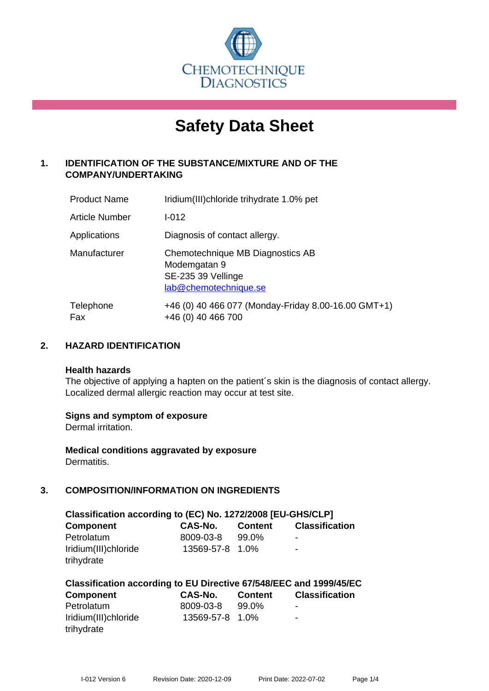

# **Safety Data Sheet**

# **1. IDENTIFICATION OF THE SUBSTANCE/MIXTURE AND OF THE COMPANY/UNDERTAKING**

| <b>Product Name</b> | Iridium(III)chloride trihydrate 1.0% pet                                                        |
|---------------------|-------------------------------------------------------------------------------------------------|
| Article Number      | $I - 012$                                                                                       |
| Applications        | Diagnosis of contact allergy.                                                                   |
| Manufacturer        | Chemotechnique MB Diagnostics AB<br>Modemgatan 9<br>SE-235 39 Vellinge<br>lab@chemotechnique.se |
| Telephone<br>Fax    | +46 (0) 40 466 077 (Monday-Friday 8.00-16.00 GMT+1)<br>+46 (0) 40 466 700                       |

## **2. HAZARD IDENTIFICATION**

#### **Health hazards**

The objective of applying a hapten on the patient's skin is the diagnosis of contact allergy. Localized dermal allergic reaction may occur at test site.

## **Signs and symptom of exposure**

Dermal irritation.

**Medical conditions aggravated by exposure** Dermatitis.

# **3. COMPOSITION/INFORMATION ON INGREDIENTS**

| Classification according to (EC) No. 1272/2008 [EU-GHS/CLP] |                 |                |                          |  |
|-------------------------------------------------------------|-----------------|----------------|--------------------------|--|
| <b>Component</b>                                            | <b>CAS-No.</b>  | <b>Content</b> | <b>Classification</b>    |  |
| Petrolatum                                                  | 8009-03-8       | 99.0%          | $\overline{\phantom{a}}$ |  |
| Iridium(III)chloride                                        | 13569-57-8 1.0% |                | $\overline{\phantom{0}}$ |  |
| trihydrate                                                  |                 |                |                          |  |

| Classification according to EU Directive 67/548/EEC and 1999/45/EC |                 |                |                       |  |  |
|--------------------------------------------------------------------|-----------------|----------------|-----------------------|--|--|
| <b>Component</b>                                                   | CAS-No.         | <b>Content</b> | <b>Classification</b> |  |  |
| Petrolatum                                                         | 8009-03-8       | 99.0%          | ۰                     |  |  |
| Iridium(III)chloride                                               | 13569-57-8 1.0% |                | -                     |  |  |
| trihydrate                                                         |                 |                |                       |  |  |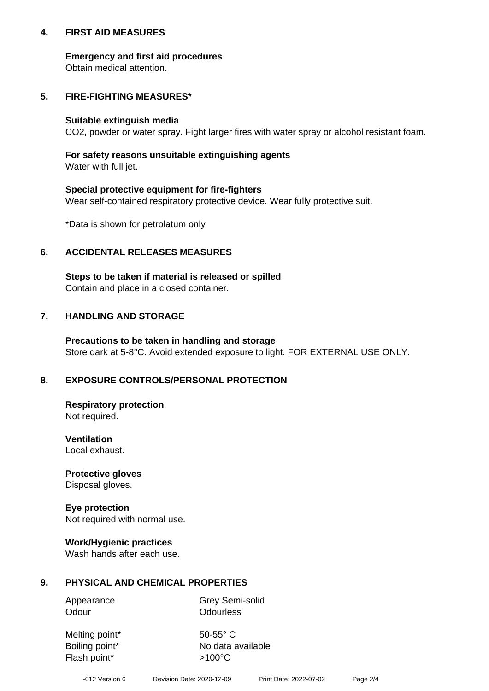## **4. FIRST AID MEASURES**

## **Emergency and first aid procedures**

Obtain medical attention.

# **5. FIRE-FIGHTING MEASURES\***

#### **Suitable extinguish media**

CO2, powder or water spray. Fight larger fires with water spray or alcohol resistant foam.

# **For safety reasons unsuitable extinguishing agents**

Water with full jet.

## **Special protective equipment for fire-fighters**

Wear self-contained respiratory protective device. Wear fully protective suit.

\*Data is shown for petrolatum only

## **6. ACCIDENTAL RELEASES MEASURES**

**Steps to be taken if material is released or spilled** Contain and place in a closed container.

# **7. HANDLING AND STORAGE**

**Precautions to be taken in handling and storage** Store dark at 5-8°C. Avoid extended exposure to light. FOR EXTERNAL USE ONLY.

# **8. EXPOSURE CONTROLS/PERSONAL PROTECTION**

**Respiratory protection** Not required.

**Ventilation** Local exhaust.

**Protective gloves** Disposal gloves.

#### **Eye protection** Not required with normal use.

## **Work/Hygienic practices**

Wash hands after each use.

## **9. PHYSICAL AND CHEMICAL PROPERTIES**

Odour **Odourless** 

Appearance Grey Semi-solid

Melting point\* 50-55° C Flash point\* >100°C

Boiling point\* No data available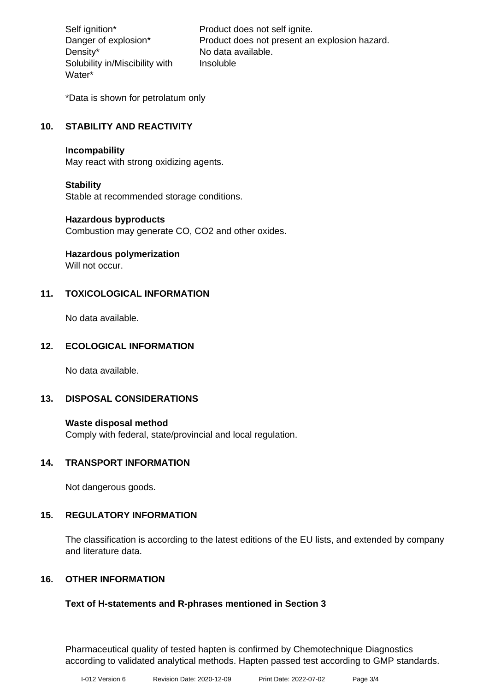Density\* No data available. Solubility in/Miscibility with Water\*

Self ignition\* Product does not self ignite. Danger of explosion\* Product does not present an explosion hazard. Insoluble

\*Data is shown for petrolatum only

# **10. STABILITY AND REACTIVITY**

#### **Incompability**

May react with strong oxidizing agents.

#### **Stability**

Stable at recommended storage conditions.

## **Hazardous byproducts**

Combustion may generate CO, CO2 and other oxides.

**Hazardous polymerization**

Will not occur.

## **11. TOXICOLOGICAL INFORMATION**

No data available.

## **12. ECOLOGICAL INFORMATION**

No data available.

## **13. DISPOSAL CONSIDERATIONS**

#### **Waste disposal method**

Comply with federal, state/provincial and local regulation.

## **14. TRANSPORT INFORMATION**

Not dangerous goods.

## **15. REGULATORY INFORMATION**

The classification is according to the latest editions of the EU lists, and extended by company and literature data.

## **16. OTHER INFORMATION**

## **Text of H-statements and R-phrases mentioned in Section 3**

Pharmaceutical quality of tested hapten is confirmed by Chemotechnique Diagnostics according to validated analytical methods. Hapten passed test according to GMP standards.